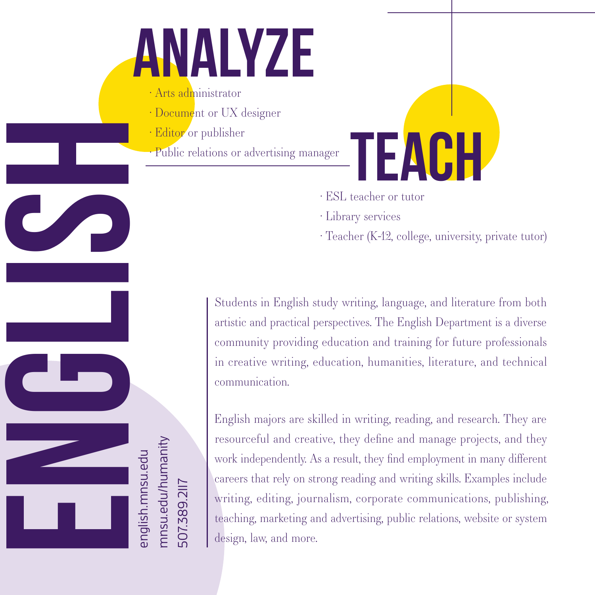## NALYZE

- · Arts administrator
- $\cdot$  Document or UX designer
- � Editor or publisher

english.mnsu.edu mnsu.edu/humanity

507.389.2117

- � Public relations or advertising manager
	- � ESL teacher or tutor
	- � Library services
	- � Teacher (K-12, college, university, private tutor)

FAIH

artistic and practical perspectives. The English Department is a diverse community providing education and training for future professionals in creative writing, education, humanities, literature, and technical communication.

ENGLISH STUDE CONDISHERT STREET THE STREET CONDITION THE STREET CONDITION TO THE STREET THE STREET THAT IS USED AND STREET THAT IS USED AND STREET THAT IS A STREET THAT IS A STREET THAT IS A STREET THAT IS A STREET THAT IS English majors are skilled in writing, reading, and research. They are resourceful and creative, they define and manage projects, and they work independently. As a result, they find employment in many different careers that rely on strong reading and writing skills. Examples include writing, editing, journalism, corporate communications, publishing, teaching, marketing and advertising, public relations, website or system design, law, and more.